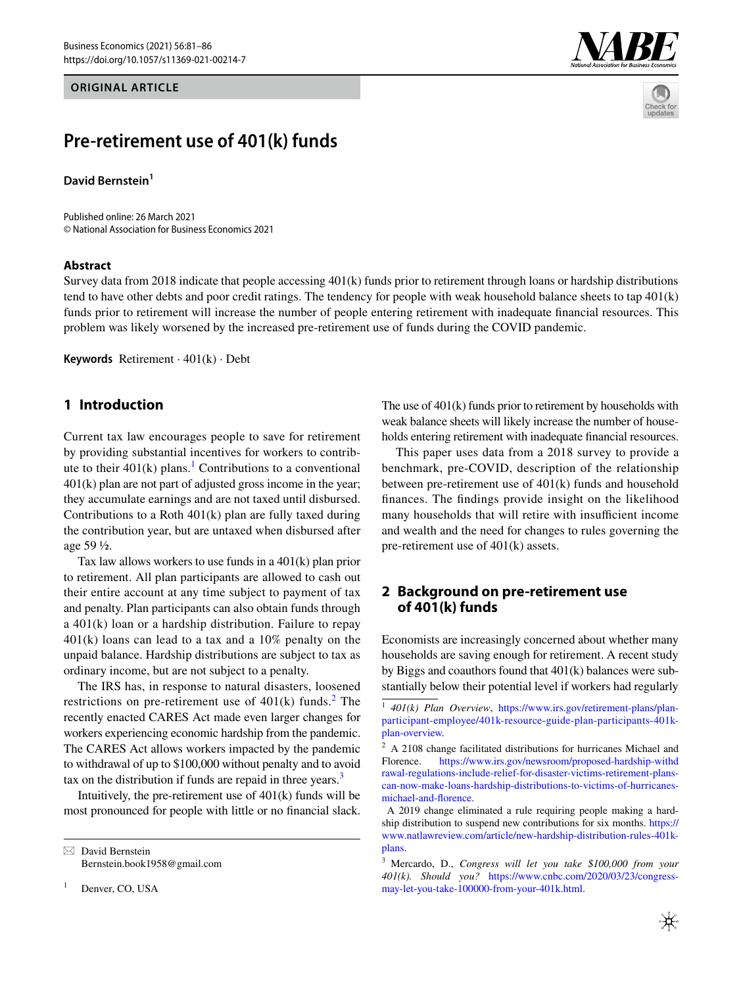#### **ORIGINAL ARTICLE**





# **Pre‑retirement use of 401(k) funds**

**David Bernstein**<sup>1</sup>

Published online: 26 March 2021 © National Association for Business Economics 2021

#### **Abstract**

Survey data from 2018 indicate that people accessing 401(k) funds prior to retirement through loans or hardship distributions tend to have other debts and poor credit ratings. The tendency for people with weak household balance sheets to tap 401(k) funds prior to retirement will increase the number of people entering retirement with inadequate fnancial resources. This problem was likely worsened by the increased pre-retirement use of funds during the COVID pandemic.

**Keywords** Retirement · 401(k) · Debt

#### **1 Introduction**

Current tax law encourages people to save for retirement by providing substantial incentives for workers to contribute to their  $401(k)$  $401(k)$  $401(k)$  plans.<sup>1</sup> Contributions to a conventional 401(k) plan are not part of adjusted gross income in the year; they accumulate earnings and are not taxed until disbursed. Contributions to a Roth 401(k) plan are fully taxed during the contribution year, but are untaxed when disbursed after age 59 ½.

Tax law allows workers to use funds in a 401(k) plan prior to retirement. All plan participants are allowed to cash out their entire account at any time subject to payment of tax and penalty. Plan participants can also obtain funds through a 401(k) loan or a hardship distribution. Failure to repay 401(k) loans can lead to a tax and a 10% penalty on the unpaid balance. Hardship distributions are subject to tax as ordinary income, but are not subject to a penalty.

The IRS has, in response to natural disasters, loosened restrictions on pre-retirement use of  $401(k)$  funds.<sup>[2](#page-0-1)</sup> The recently enacted CARES Act made even larger changes for workers experiencing economic hardship from the pandemic. The CARES Act allows workers impacted by the pandemic to withdrawal of up to \$100,000 without penalty and to avoid tax on the distribution if funds are repaid in three years.<sup>[3](#page-0-2)</sup>

Intuitively, the pre-retirement use of  $401(k)$  funds will be most pronounced for people with little or no fnancial slack.

Denver, CO, USA

The use of 401(k) funds prior to retirement by households with weak balance sheets will likely increase the number of households entering retirement with inadequate fnancial resources.

This paper uses data from a 2018 survey to provide a benchmark, pre-COVID, description of the relationship between pre-retirement use of 401(k) funds and household fnances. The fndings provide insight on the likelihood many households that will retire with insufficient income and wealth and the need for changes to rules governing the pre-retirement use of 401(k) assets.

## **2 Background on pre‑retirement use of 401(k) funds**

Economists are increasingly concerned about whether many households are saving enough for retirement. A recent study by Biggs and coauthors found that 401(k) balances were substantially below their potential level if workers had regularly

<span id="page-0-2"></span><sup>3</sup> Mercardo, D., *Congress will let you take \$100,000 from your 401(k). Should you?* [https://www.cnbc.com/2020/03/23/congress](https://www.cnbc.com/2020/03/23/congress-may-let-you-take-100000-from-your-401k.html)[may-let-you-take-100000-from-your-401k.html](https://www.cnbc.com/2020/03/23/congress-may-let-you-take-100000-from-your-401k.html).



 $\boxtimes$  David Bernstein Bernstein.book1958@gmail.com

<span id="page-0-0"></span><sup>1</sup> *401(k) Plan Overview*, [https://www.irs.gov/retirement-plans/plan](https://www.irs.gov/retirement-plans/plan-participant-employee/401k-resource-guide-plan-participants-401k-plan-overview)[participant-employee/401k-resource-guide-plan-participants-401k](https://www.irs.gov/retirement-plans/plan-participant-employee/401k-resource-guide-plan-participants-401k-plan-overview)[plan-overview](https://www.irs.gov/retirement-plans/plan-participant-employee/401k-resource-guide-plan-participants-401k-plan-overview).

<span id="page-0-1"></span><sup>2</sup> A 2108 change facilitated distributions for hurricanes Michael and Florence. [https://www.irs.gov/newsroom/proposed-hardship-withd](https://www.irs.gov/newsroom/proposed-hardship-withdrawal-regulations-include-relief-for-disaster-victims-retirement-plans-can-now-make-loans-hardship-distributions-to-victims-of-hurricanes-michael-and-florence) [rawal-regulations-include-relief-for-disaster-victims-retirement-plans](https://www.irs.gov/newsroom/proposed-hardship-withdrawal-regulations-include-relief-for-disaster-victims-retirement-plans-can-now-make-loans-hardship-distributions-to-victims-of-hurricanes-michael-and-florence)[can-now-make-loans-hardship-distributions-to-victims-of-hurricanes](https://www.irs.gov/newsroom/proposed-hardship-withdrawal-regulations-include-relief-for-disaster-victims-retirement-plans-can-now-make-loans-hardship-distributions-to-victims-of-hurricanes-michael-and-florence)[michael-and-forence](https://www.irs.gov/newsroom/proposed-hardship-withdrawal-regulations-include-relief-for-disaster-victims-retirement-plans-can-now-make-loans-hardship-distributions-to-victims-of-hurricanes-michael-and-florence).

A 2019 change eliminated a rule requiring people making a hardship distribution to suspend new contributions for six months. [https://](https://www.natlawreview.com/article/new-hardship-distribution-rules-401k-plans) [www.natlawreview.com/article/new-hardship-distribution-rules-401k](https://www.natlawreview.com/article/new-hardship-distribution-rules-401k-plans)[plans](https://www.natlawreview.com/article/new-hardship-distribution-rules-401k-plans).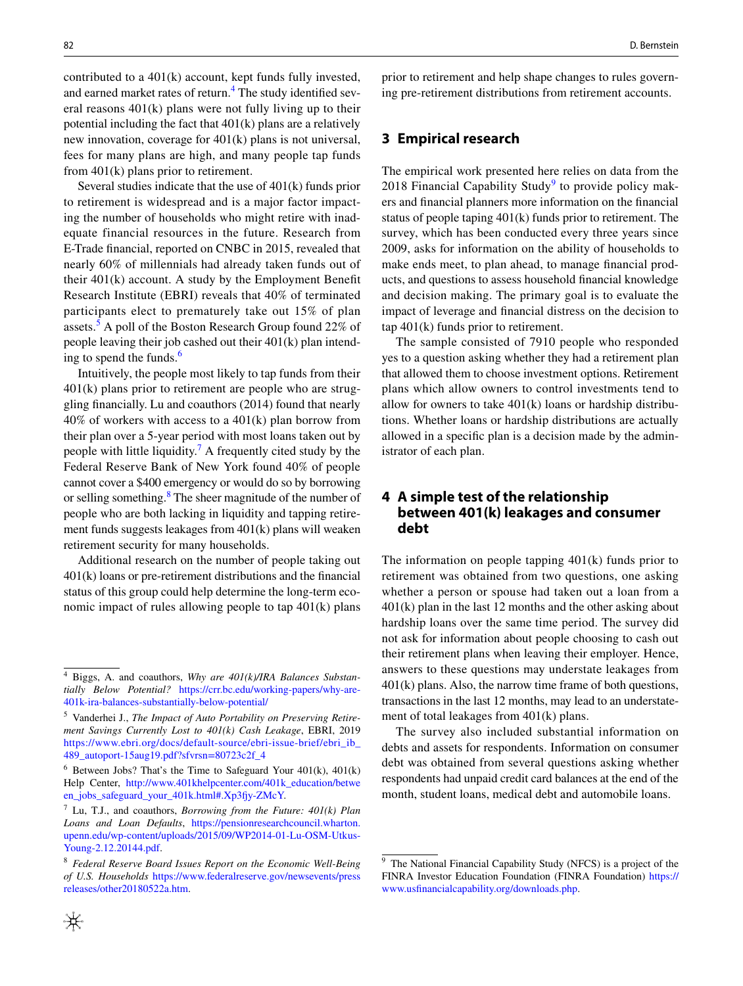contributed to a 401(k) account, kept funds fully invested, and earned market rates of return.<sup>[4](#page-1-0)</sup> The study identified several reasons 401(k) plans were not fully living up to their potential including the fact that 401(k) plans are a relatively new innovation, coverage for 401(k) plans is not universal, fees for many plans are high, and many people tap funds from 401(k) plans prior to retirement.

Several studies indicate that the use of 401(k) funds prior to retirement is widespread and is a major factor impacting the number of households who might retire with inadequate financial resources in the future. Research from E-Trade fnancial, reported on CNBC in 2015, revealed that nearly 60% of millennials had already taken funds out of their 401(k) account. A study by the Employment Beneft Research Institute (EBRI) reveals that 40% of terminated participants elect to prematurely take out 15% of plan assets.<sup>[5](#page-1-1)</sup> A poll of the Boston Research Group found 22% of people leaving their job cashed out their 401(k) plan intending to spend the funds. $<sup>6</sup>$  $<sup>6</sup>$  $<sup>6</sup>$ </sup>

Intuitively, the people most likely to tap funds from their 401(k) plans prior to retirement are people who are struggling fnancially. Lu and coauthors (2014) found that nearly  $40\%$  of workers with access to a  $401(k)$  plan borrow from their plan over a 5-year period with most loans taken out by people with little liquidity.<sup>[7](#page-1-3)</sup> A frequently cited study by the Federal Reserve Bank of New York found 40% of people cannot cover a \$400 emergency or would do so by borrowing or selling something.<sup>[8](#page-1-4)</sup> The sheer magnitude of the number of people who are both lacking in liquidity and tapping retirement funds suggests leakages from 401(k) plans will weaken retirement security for many households.

Additional research on the number of people taking out 401(k) loans or pre-retirement distributions and the fnancial status of this group could help determine the long-term economic impact of rules allowing people to tap 401(k) plans

prior to retirement and help shape changes to rules governing pre-retirement distributions from retirement accounts.

#### **3 Empirical research**

The empirical work presented here relies on data from the 2018 Financial Capability Study<sup>[9](#page-1-5)</sup> to provide policy makers and fnancial planners more information on the fnancial status of people taping 401(k) funds prior to retirement. The survey, which has been conducted every three years since 2009, asks for information on the ability of households to make ends meet, to plan ahead, to manage fnancial products, and questions to assess household fnancial knowledge and decision making. The primary goal is to evaluate the impact of leverage and fnancial distress on the decision to tap 401(k) funds prior to retirement.

The sample consisted of 7910 people who responded yes to a question asking whether they had a retirement plan that allowed them to choose investment options. Retirement plans which allow owners to control investments tend to allow for owners to take  $401(k)$  loans or hardship distributions. Whether loans or hardship distributions are actually allowed in a specifc plan is a decision made by the administrator of each plan.

# **4 A simple test of the relationship between 401(k) leakages and consumer debt**

The information on people tapping 401(k) funds prior to retirement was obtained from two questions, one asking whether a person or spouse had taken out a loan from a 401(k) plan in the last 12 months and the other asking about hardship loans over the same time period. The survey did not ask for information about people choosing to cash out their retirement plans when leaving their employer. Hence, answers to these questions may understate leakages from 401(k) plans. Also, the narrow time frame of both questions, transactions in the last 12 months, may lead to an understatement of total leakages from 401(k) plans.

The survey also included substantial information on debts and assets for respondents. Information on consumer debt was obtained from several questions asking whether respondents had unpaid credit card balances at the end of the month, student loans, medical debt and automobile loans.

<span id="page-1-0"></span><sup>4</sup> Biggs, A. and coauthors, *Why are 401(k)/IRA Balances Substantially Below Potential?* [https://crr.bc.edu/working-papers/why-are-](https://crr.bc.edu/working-papers/why-are-401k-ira-balances-substantially-below-potential/)[401k-ira-balances-substantially-below-potential/](https://crr.bc.edu/working-papers/why-are-401k-ira-balances-substantially-below-potential/)

<span id="page-1-1"></span><sup>5</sup> Vanderhei J., *The Impact of Auto Portability on Preserving Retirement Savings Currently Lost to 401(k) Cash Leakage*, EBRI, 2019 [https://www.ebri.org/docs/default-source/ebri-issue-brief/ebri\\_ib\\_](https://www.ebri.org/docs/default-source/ebri-issue-brief/ebri_ib_489_autoport-15aug19.pdf?sfvrsn=80723c2f_4) [489\\_autoport-15aug19.pdf?sfvrsn=80723c2f\\_4](https://www.ebri.org/docs/default-source/ebri-issue-brief/ebri_ib_489_autoport-15aug19.pdf?sfvrsn=80723c2f_4)

<span id="page-1-2"></span> $6$  Between Jobs? That's the Time to Safeguard Your 401(k), 401(k) Help Center, [http://www.401khelpcenter.com/401k\\_education/betwe](http://www.401khelpcenter.com/401k_education/between_jobs_safeguard_your_401k.html#.Xp3fjy-ZMcY) [en\\_jobs\\_safeguard\\_your\\_401k.html#.Xp3fy-ZMcY](http://www.401khelpcenter.com/401k_education/between_jobs_safeguard_your_401k.html#.Xp3fjy-ZMcY).

<span id="page-1-3"></span><sup>7</sup> Lu, T.J., and coauthors, *Borrowing from the Future: 401(k) Plan Loans and Loan Defaults*, [https://pensionresearchcouncil.wharton.](https://pensionresearchcouncil.wharton.upenn.edu/wp-content/uploads/2015/09/WP2014-01-Lu-OSM-Utkus-Young-2.12.20144.pdf) [upenn.edu/wp-content/uploads/2015/09/WP2014-01-Lu-OSM-Utkus-](https://pensionresearchcouncil.wharton.upenn.edu/wp-content/uploads/2015/09/WP2014-01-Lu-OSM-Utkus-Young-2.12.20144.pdf)[Young-2.12.20144.pdf](https://pensionresearchcouncil.wharton.upenn.edu/wp-content/uploads/2015/09/WP2014-01-Lu-OSM-Utkus-Young-2.12.20144.pdf).

<span id="page-1-4"></span><sup>8</sup> *Federal Reserve Board Issues Report on the Economic Well-Being of U.S. Households* [https://www.federalreserve.gov/newsevents/press](https://www.federalreserve.gov/newsevents/pressreleases/other20180522a.htm) [releases/other20180522a.htm.](https://www.federalreserve.gov/newsevents/pressreleases/other20180522a.htm)

<span id="page-1-5"></span><sup>&</sup>lt;sup>9</sup> The National Financial Capability Study (NFCS) is a project of the FINRA Investor Education Foundation (FINRA Foundation) [https://](https://www.usfinancialcapability.org/downloads.php) [www.usfnancialcapability.org/downloads.php](https://www.usfinancialcapability.org/downloads.php).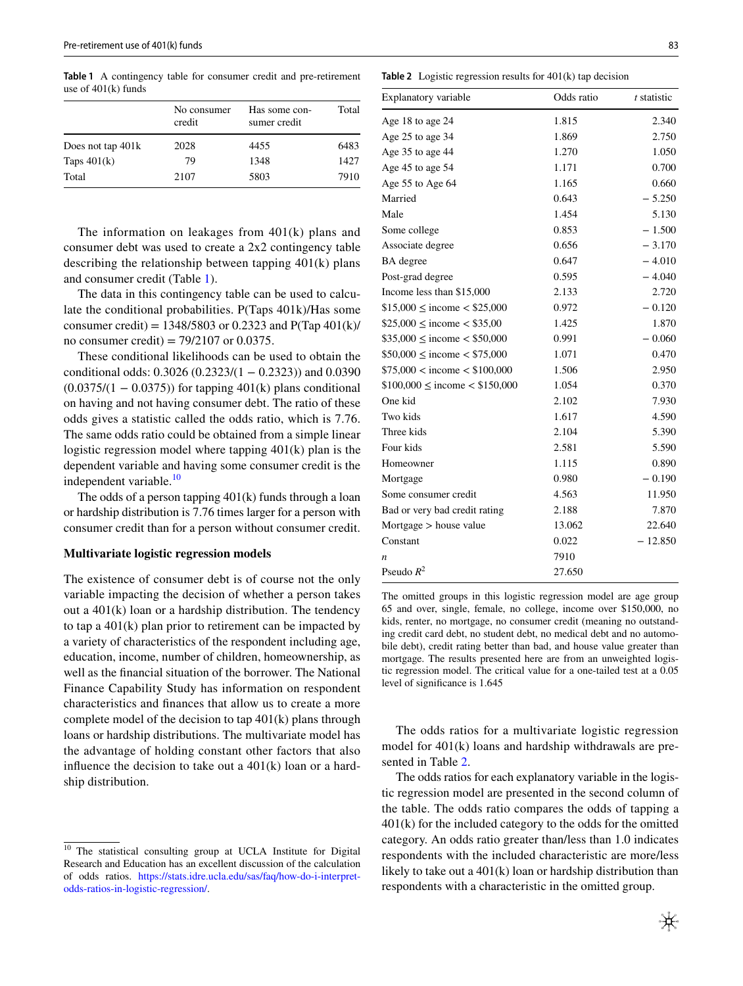<span id="page-2-0"></span>**Table 1** A contingency table for consumer credit and pre-retirement use of 401(k) funds

| No consumer<br>credit | Has some con-<br>sumer credit | Total |
|-----------------------|-------------------------------|-------|
| 2028                  | 4455                          | 6483  |
| 79                    | 1348                          | 1427  |
| 2107                  | 5803                          | 7910  |
|                       |                               |       |

The information on leakages from 401(k) plans and consumer debt was used to create a 2x2 contingency table describing the relationship between tapping 401(k) plans and consumer credit (Table [1\)](#page-2-0).

The data in this contingency table can be used to calculate the conditional probabilities. P(Taps 401k)/Has some consumer credit) =  $1348/5803$  or 0.2323 and P(Tap 401(k)/ no consumer credit) =  $79/2107$  or 0.0375.

These conditional likelihoods can be used to obtain the conditional odds: 0.3026 (0.2323/(1 − 0.2323)) and 0.0390  $(0.0375/(1 - 0.0375))$  for tapping 401(k) plans conditional on having and not having consumer debt. The ratio of these odds gives a statistic called the odds ratio, which is 7.76. The same odds ratio could be obtained from a simple linear logistic regression model where tapping 401(k) plan is the dependent variable and having some consumer credit is the independent variable.<sup>[10](#page-2-1)</sup>

The odds of a person tapping 401(k) funds through a loan or hardship distribution is 7.76 times larger for a person with consumer credit than for a person without consumer credit.

#### **Multivariate logistic regression models**

The existence of consumer debt is of course not the only variable impacting the decision of whether a person takes out a 401(k) loan or a hardship distribution. The tendency to tap a 401(k) plan prior to retirement can be impacted by a variety of characteristics of the respondent including age, education, income, number of children, homeownership, as well as the fnancial situation of the borrower. The National Finance Capability Study has information on respondent characteristics and fnances that allow us to create a more complete model of the decision to tap 401(k) plans through loans or hardship distributions. The multivariate model has the advantage of holding constant other factors that also infuence the decision to take out a 401(k) loan or a hardship distribution.

<span id="page-2-2"></span>

| <b>Table 2</b> Logistic regression results for $401(k)$ tap decision |  |
|----------------------------------------------------------------------|--|
|----------------------------------------------------------------------|--|

| Explanatory variable                | Odds ratio | $t$ statistic |
|-------------------------------------|------------|---------------|
| Age 18 to age 24                    | 1.815      | 2.340         |
| Age 25 to age 34                    | 1.869      | 2.750         |
| Age 35 to age 44                    | 1.270      | 1.050         |
| Age 45 to age 54                    | 1.171      | 0.700         |
| Age 55 to Age 64                    | 1.165      | 0.660         |
| Married                             | 0.643      | $-5.250$      |
| Male                                | 1.454      | 5.130         |
| Some college                        | 0.853      | $-1.500$      |
| Associate degree                    | 0.656      | $-3.170$      |
| BA degree                           | 0.647      | $-4.010$      |
| Post-grad degree                    | 0.595      | $-4.040$      |
| Income less than \$15,000           | 2.133      | 2.720         |
| $$15,000 \leq$ income $< $25,000$   | 0.972      | $-0.120$      |
| $$25,000 \leq$ income $< $35,00$    | 1.425      | 1.870         |
| $$35,000 \leq$ income $< $50,000$   | 0.991      | $-0.060$      |
| $$50,000 \leq$ income $< $75,000$   | 1.071      | 0.470         |
| $$75,000 <$ income $< $100,000$     | 1.506      | 2.950         |
| $$100,000 \leq$ income $< $150,000$ | 1.054      | 0.370         |
| One kid                             | 2.102      | 7.930         |
| Two kids                            | 1.617      | 4.590         |
| Three kids                          | 2.104      | 5.390         |
| Four kids                           | 2.581      | 5.590         |
| Homeowner                           | 1.115      | 0.890         |
| Mortgage                            | 0.980      | $-0.190$      |
| Some consumer credit                | 4.563      | 11.950        |
| Bad or very bad credit rating       | 2.188      | 7.870         |
| Mortgage $>$ house value            | 13.062     | 22.640        |
| Constant                            | 0.022      | $-12.850$     |
| n                                   | 7910       |               |
| Pseudo $R^2$                        | 27.650     |               |

The omitted groups in this logistic regression model are age group 65 and over, single, female, no college, income over \$150,000, no kids, renter, no mortgage, no consumer credit (meaning no outstanding credit card debt, no student debt, no medical debt and no automobile debt), credit rating better than bad, and house value greater than mortgage. The results presented here are from an unweighted logistic regression model. The critical value for a one-tailed test at a 0.05 level of signifcance is 1.645

The odds ratios for a multivariate logistic regression model for 401(k) loans and hardship withdrawals are presented in Table [2.](#page-2-2)

The odds ratios for each explanatory variable in the logistic regression model are presented in the second column of the table. The odds ratio compares the odds of tapping a 401(k) for the included category to the odds for the omitted category. An odds ratio greater than/less than 1.0 indicates respondents with the included characteristic are more/less likely to take out a 401(k) loan or hardship distribution than respondents with a characteristic in the omitted group.

<span id="page-2-1"></span><sup>&</sup>lt;sup>10</sup> The statistical consulting group at UCLA Institute for Digital Research and Education has an excellent discussion of the calculation of odds ratios. [https://stats.idre.ucla.edu/sas/faq/how-do-i-interpret](https://stats.idre.ucla.edu/sas/faq/how-do-i-interpret-odds-ratios-in-logistic-regression/)[odds-ratios-in-logistic-regression/](https://stats.idre.ucla.edu/sas/faq/how-do-i-interpret-odds-ratios-in-logistic-regression/).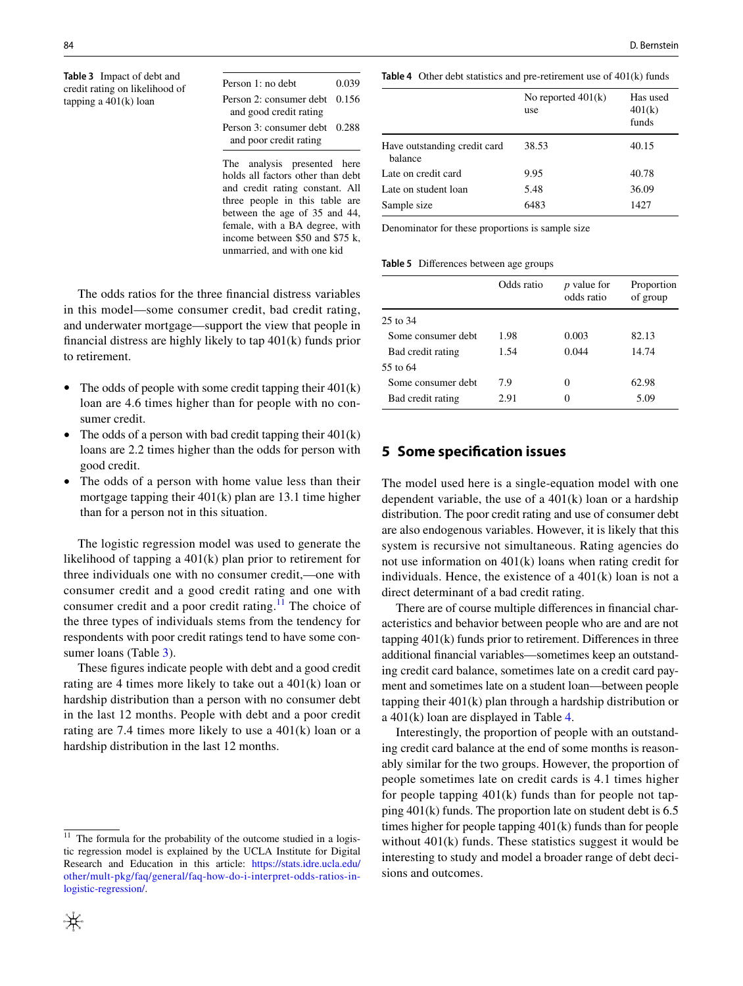<span id="page-3-1"></span>**Table 3** Impact of debt and credit rating on likelihood of tapping a 401(k) loan

| Person 1: no debt               | 0.039 |
|---------------------------------|-------|
| Person 2: consumer debt $0.156$ |       |
| and good credit rating          |       |
| Person 3: consumer debt 0.288   |       |
| and poor credit rating          |       |

The analysis presented here holds all factors other than debt and credit rating constant. All three people in this table are between the age of 35 and 44, female, with a BA degree, with income between \$50 and \$75 k, unmarried, and with one kid

84 D. Bernstein

<span id="page-3-2"></span>**Table 4** Other debt statistics and pre-retirement use of 401(k) funds

|                                         | No reported $401(k)$<br>use | Has used<br>401(k)<br>funds |
|-----------------------------------------|-----------------------------|-----------------------------|
| Have outstanding credit card<br>balance | 38.53                       | 40.15                       |
| Late on credit card                     | 9.95                        | 40.78                       |
| Late on student loan                    | 5.48                        | 36.09                       |
| Sample size                             | 6483                        | 1427                        |

Denominator for these proportions is sample size

<span id="page-3-3"></span>

| Table 5 Differences between age groups |  |  |  |
|----------------------------------------|--|--|--|
|----------------------------------------|--|--|--|

| Odds ratio | <i>p</i> value for<br>odds ratio | Proportion<br>of group |
|------------|----------------------------------|------------------------|
|            |                                  |                        |
| 1.98       | 0.003                            | 82.13                  |
| 1.54       | 0.044                            | 14.74                  |
|            |                                  |                        |
| 7.9        | 0                                | 62.98                  |
| 2.91       | 0                                | 5.09                   |
|            |                                  |                        |

and underwater mortgage—support the view that people in fnancial distress are highly likely to tap 401(k) funds prior to retirement.

The odds ratios for the three fnancial distress variables in this model—some consumer credit, bad credit rating,

- The odds of people with some credit tapping their  $401(k)$ loan are 4.6 times higher than for people with no consumer credit.
- The odds of a person with bad credit tapping their  $401(k)$ loans are 2.2 times higher than the odds for person with good credit.
- The odds of a person with home value less than their mortgage tapping their 401(k) plan are 13.1 time higher than for a person not in this situation.

The logistic regression model was used to generate the likelihood of tapping a 401(k) plan prior to retirement for three individuals one with no consumer credit,—one with consumer credit and a good credit rating and one with consumer credit and a poor credit rating.<sup>11</sup> The choice of the three types of individuals stems from the tendency for respondents with poor credit ratings tend to have some consumer loans (Table [3](#page-3-1)).

These fgures indicate people with debt and a good credit rating are 4 times more likely to take out a 401(k) loan or hardship distribution than a person with no consumer debt in the last 12 months. People with debt and a poor credit rating are 7.4 times more likely to use a 401(k) loan or a hardship distribution in the last 12 months.



The model used here is a single-equation model with one dependent variable, the use of a  $401(k)$  loan or a hardship distribution. The poor credit rating and use of consumer debt are also endogenous variables. However, it is likely that this system is recursive not simultaneous. Rating agencies do not use information on 401(k) loans when rating credit for individuals. Hence, the existence of a 401(k) loan is not a direct determinant of a bad credit rating.

There are of course multiple diferences in fnancial characteristics and behavior between people who are and are not tapping 401(k) funds prior to retirement. Diferences in three additional fnancial variables—sometimes keep an outstanding credit card balance, sometimes late on a credit card payment and sometimes late on a student loan—between people tapping their 401(k) plan through a hardship distribution or a 401(k) loan are displayed in Table [4](#page-3-2).

Interestingly, the proportion of people with an outstanding credit card balance at the end of some months is reasonably similar for the two groups. However, the proportion of people sometimes late on credit cards is 4.1 times higher for people tapping  $401(k)$  funds than for people not tapping 401(k) funds. The proportion late on student debt is 6.5 times higher for people tapping 401(k) funds than for people without  $401(k)$  funds. These statistics suggest it would be interesting to study and model a broader range of debt decisions and outcomes.

<span id="page-3-0"></span> $11$  The formula for the probability of the outcome studied in a logistic regression model is explained by the UCLA Institute for Digital Research and Education in this article: [https://stats.idre.ucla.edu/](https://stats.idre.ucla.edu/other/mult-pkg/faq/general/faq-how-do-i-interpret-odds-ratios-in-logistic-regression/) [other/mult-pkg/faq/general/faq-how-do-i-interpret-odds-ratios-in](https://stats.idre.ucla.edu/other/mult-pkg/faq/general/faq-how-do-i-interpret-odds-ratios-in-logistic-regression/)[logistic-regression/](https://stats.idre.ucla.edu/other/mult-pkg/faq/general/faq-how-do-i-interpret-odds-ratios-in-logistic-regression/).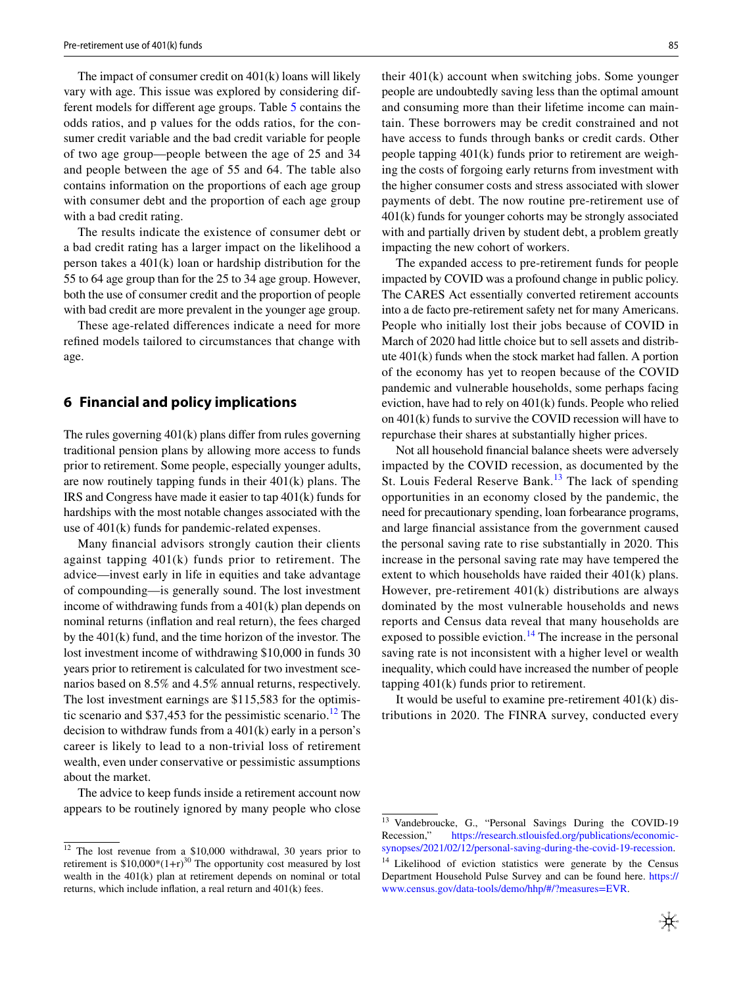The impact of consumer credit on 401(k) loans will likely vary with age. This issue was explored by considering different models for diferent age groups. Table [5](#page-3-3) contains the odds ratios, and p values for the odds ratios, for the consumer credit variable and the bad credit variable for people of two age group—people between the age of 25 and 34 and people between the age of 55 and 64. The table also contains information on the proportions of each age group with consumer debt and the proportion of each age group with a bad credit rating.

The results indicate the existence of consumer debt or a bad credit rating has a larger impact on the likelihood a person takes a 401(k) loan or hardship distribution for the 55 to 64 age group than for the 25 to 34 age group. However, both the use of consumer credit and the proportion of people with bad credit are more prevalent in the younger age group.

These age-related diferences indicate a need for more refned models tailored to circumstances that change with age.

### **6 Financial and policy implications**

The rules governing 401(k) plans difer from rules governing traditional pension plans by allowing more access to funds prior to retirement. Some people, especially younger adults, are now routinely tapping funds in their 401(k) plans. The IRS and Congress have made it easier to tap 401(k) funds for hardships with the most notable changes associated with the use of 401(k) funds for pandemic-related expenses.

Many fnancial advisors strongly caution their clients against tapping 401(k) funds prior to retirement. The advice—invest early in life in equities and take advantage of compounding—is generally sound. The lost investment income of withdrawing funds from a 401(k) plan depends on nominal returns (infation and real return), the fees charged by the 401(k) fund, and the time horizon of the investor. The lost investment income of withdrawing \$10,000 in funds 30 years prior to retirement is calculated for two investment scenarios based on 8.5% and 4.5% annual returns, respectively. The lost investment earnings are \$115,583 for the optimistic scenario and  $$37,453$  for the pessimistic scenario.<sup>[12](#page-4-0)</sup> The decision to withdraw funds from a 401(k) early in a person's career is likely to lead to a non-trivial loss of retirement wealth, even under conservative or pessimistic assumptions about the market.

The advice to keep funds inside a retirement account now appears to be routinely ignored by many people who close their 401(k) account when switching jobs. Some younger people are undoubtedly saving less than the optimal amount and consuming more than their lifetime income can maintain. These borrowers may be credit constrained and not have access to funds through banks or credit cards. Other people tapping 401(k) funds prior to retirement are weighing the costs of forgoing early returns from investment with the higher consumer costs and stress associated with slower payments of debt. The now routine pre-retirement use of 401(k) funds for younger cohorts may be strongly associated with and partially driven by student debt, a problem greatly impacting the new cohort of workers.

The expanded access to pre-retirement funds for people impacted by COVID was a profound change in public policy. The CARES Act essentially converted retirement accounts into a de facto pre-retirement safety net for many Americans. People who initially lost their jobs because of COVID in March of 2020 had little choice but to sell assets and distribute 401(k) funds when the stock market had fallen. A portion of the economy has yet to reopen because of the COVID pandemic and vulnerable households, some perhaps facing eviction, have had to rely on 401(k) funds. People who relied on 401(k) funds to survive the COVID recession will have to repurchase their shares at substantially higher prices.

Not all household fnancial balance sheets were adversely impacted by the COVID recession, as documented by the St. Louis Federal Reserve Bank.<sup>[13](#page-4-1)</sup> The lack of spending opportunities in an economy closed by the pandemic, the need for precautionary spending, loan forbearance programs, and large fnancial assistance from the government caused the personal saving rate to rise substantially in 2020. This increase in the personal saving rate may have tempered the extent to which households have raided their 401(k) plans. However, pre-retirement 401(k) distributions are always dominated by the most vulnerable households and news reports and Census data reveal that many households are exposed to possible eviction.<sup>[14](#page-4-2)</sup> The increase in the personal saving rate is not inconsistent with a higher level or wealth inequality, which could have increased the number of people tapping 401(k) funds prior to retirement.

It would be useful to examine pre-retirement  $401(k)$  distributions in 2020. The FINRA survey, conducted every

<span id="page-4-0"></span> $12$  The lost revenue from a \$10,000 withdrawal, 30 years prior to retirement is  $$10,000*(1+r)^{30}$  The opportunity cost measured by lost wealth in the 401(k) plan at retirement depends on nominal or total returns, which include infation, a real return and 401(k) fees.

<span id="page-4-1"></span> $\frac{13}{13}$  Vandebroucke, G., "Personal Savings During the COVID-19<br>Recession," https://research.stlouisfed.org/publications/economic[https://research.stlouisfed.org/publications/economic](https://research.stlouisfed.org/publications/economic-synopses/2021/02/12/personal-saving-during-the-covid-19-recession)[synopses/2021/02/12/personal-saving-during-the-covid-19-recession.](https://research.stlouisfed.org/publications/economic-synopses/2021/02/12/personal-saving-during-the-covid-19-recession)

<span id="page-4-2"></span><sup>&</sup>lt;sup>14</sup> Likelihood of eviction statistics were generate by the Census Department Household Pulse Survey and can be found here. [https://](https://www.census.gov/data-tools/demo/hhp/#/?measures=EVR) [www.census.gov/data-tools/demo/hhp/#/?measures=EVR.](https://www.census.gov/data-tools/demo/hhp/#/?measures=EVR)